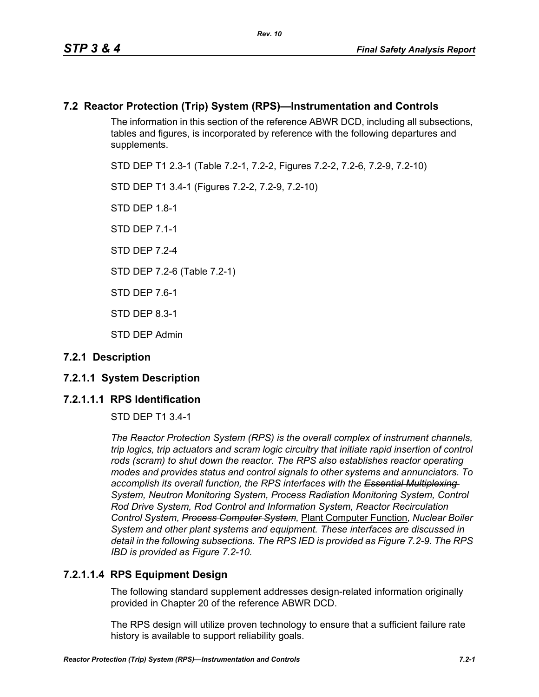# **7.2 Reactor Protection (Trip) System (RPS)—Instrumentation and Controls**

The information in this section of the reference ABWR DCD, including all subsections, tables and figures, is incorporated by reference with the following departures and supplements.

STD DEP T1 2.3-1 (Table 7.2-1, 7.2-2, Figures 7.2-2, 7.2-6, 7.2-9, 7.2-10)

STD DEP T1 3.4-1 (Figures 7.2-2, 7.2-9, 7.2-10)

STD DFP 18-1

STD DEP 7.1-1

STD DFP 7 2-4

STD DEP 7.2-6 (Table 7.2-1)

STD DEP 7.6-1

STD DEP 8.3-1

STD DEP Admin

# **7.2.1 Description**

# **7.2.1.1 System Description**

# **7.2.1.1.1 RPS Identification**

STD DEP T1 3.4-1

*The Reactor Protection System (RPS) is the overall complex of instrument channels, trip logics, trip actuators and scram logic circuitry that initiate rapid insertion of control*  rods (scram) to shut down the reactor. The RPS also establishes reactor operating *modes and provides status and control signals to other systems and annunciators. To accomplish its overall function, the RPS interfaces with the Essential Multiplexing System, Neutron Monitoring System, Process Radiation Monitoring System, Control Rod Drive System, Rod Control and Information System, Reactor Recirculation Control System, Process Computer System,* Plant Computer Function*, Nuclear Boiler System and other plant systems and equipment. These interfaces are discussed in detail in the following subsections. The RPS IED is provided as Figure 7.2-9. The RPS IBD is provided as Figure 7.2-10.*

# **7.2.1.1.4 RPS Equipment Design**

The following standard supplement addresses design-related information originally provided in Chapter 20 of the reference ABWR DCD.

The RPS design will utilize proven technology to ensure that a sufficient failure rate history is available to support reliability goals.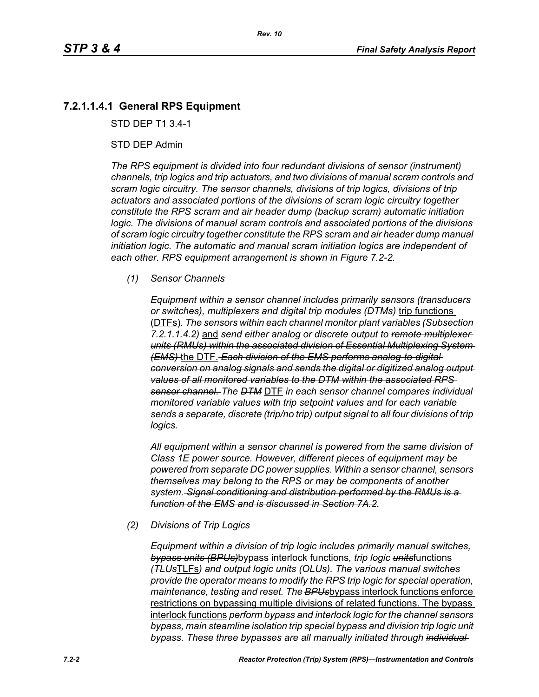# **7.2.1.1.4.1 General RPS Equipment**

STD DEP T1 3.4-1

#### STD DEP Admin

*The RPS equipment is divided into four redundant divisions of sensor (instrument) channels, trip logics and trip actuators, and two divisions of manual scram controls and scram logic circuitry. The sensor channels, divisions of trip logics, divisions of trip actuators and associated portions of the divisions of scram logic circuitry together constitute the RPS scram and air header dump (backup scram) automatic initiation logic. The divisions of manual scram controls and associated portions of the divisions of scram logic circuitry together constitute the RPS scram and air header dump manual initiation logic. The automatic and manual scram initiation logics are independent of each other. RPS equipment arrangement is shown in Figure 7.2-2.*

#### *(1) Sensor Channels*

*Equipment within a sensor channel includes primarily sensors (transducers or switches), multiplexers and digital trip modules (DTMs)* trip functions (DTFs)*. The sensors within each channel monitor plant variables (Subsection 7.2.1.1.4.2)* and *send either analog or discrete output to remote multiplexer units (RMUs) within the associated division of Essential Multiplexing System (EMS)* the DTF. *Each division of the EMS performs analog-to-digital conversion on analog signals and sends the digital or digitized analog output values of all monitored variables to the DTM within the associated RPS sensor channel. The DTM* DTF *in each sensor channel compares individual monitored variable values with trip setpoint values and for each variable sends a separate, discrete (trip/no trip) output signal to all four divisions of trip logics.*

*All equipment within a sensor channel is powered from the same division of Class 1E power source. However, different pieces of equipment may be powered from separate DC power supplies. Within a sensor channel, sensors themselves may belong to the RPS or may be components of another system. Signal conditioning and distribution performed by the RMUs is a function of the EMS and is discussed in Section 7A.2.*

#### *(2) Divisions of Trip Logics*

*Equipment within a division of trip logic includes primarily manual switches, bypass units (BPUs)*bypass interlock functions*, trip logic units*functions *(TLUs*TLFs*) and output logic units (OLUs). The various manual switches provide the operator means to modify the RPS trip logic for special operation, maintenance, testing and reset. The BPUs*bypass interlock functions enforce restrictions on bypassing multiple divisions of related functions. The bypass interlock functions *perform bypass and interlock logic for the channel sensors bypass, main steamline isolation trip special bypass and division trip logic unit bypass. These three bypasses are all manually initiated through individual*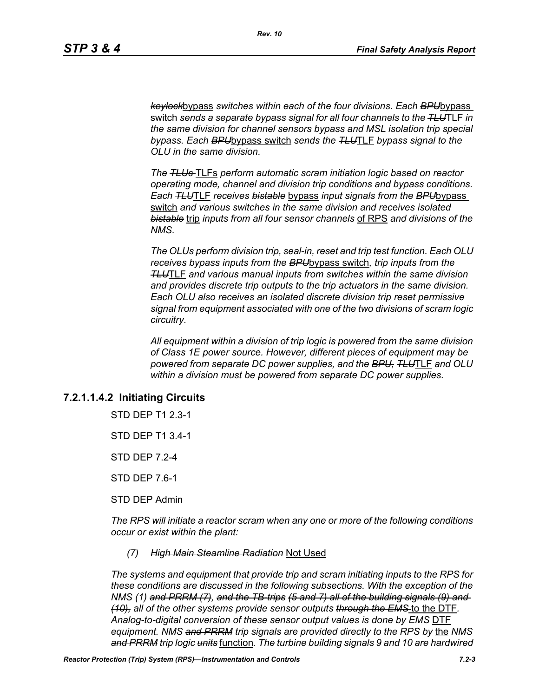*keylock*bypass *switches within each of the four divisions. Each BPU*bypass switch *sends a separate bypass signal for all four channels to the TLU*TLF *in the same division for channel sensors bypass and MSL isolation trip special bypass. Each BPU*bypass switch *sends the TLU*TLF *bypass signal to the OLU in the same division.*

*The TLUs* TLFs *perform automatic scram initiation logic based on reactor operating mode, channel and division trip conditions and bypass conditions. Each TLU*TLF *receives bistable* bypass *input signals from the BPU*bypass switch *and various switches in the same division and receives isolated bistable* trip *inputs from all four sensor channels* of RPS *and divisions of the NMS.*

*The OLUs perform division trip, seal-in, reset and trip test function. Each OLU receives bypass inputs from the BPU*bypass switch*, trip inputs from the TLU*TLF *and various manual inputs from switches within the same division and provides discrete trip outputs to the trip actuators in the same division. Each OLU also receives an isolated discrete division trip reset permissive signal from equipment associated with one of the two divisions of scram logic circuitry.*

*All equipment within a division of trip logic is powered from the same division of Class 1E power source. However, different pieces of equipment may be powered from separate DC power supplies, and the BPU, TLU*TLF *and OLU within a division must be powered from separate DC power supplies.*

# **7.2.1.1.4.2 Initiating Circuits**

STD DEP T1 2.3-1

STD DEP T1 3.4-1

STD DEP 7.2-4

STD DEP 7.6-1

STD DEP Admin

*The RPS will initiate a reactor scram when any one or more of the following conditions occur or exist within the plant:*

#### *(7) High Main Steamline Radiation* Not Used

*The systems and equipment that provide trip and scram initiating inputs to the RPS for these conditions are discussed in the following subsections. With the exception of the NMS (1) and PRRM (7), and the TB-trips (5 and 7) all of the building signals (9) and (10), all of the other systems provide sensor outputs through the EMS* to the DTF*. Analog-to-digital conversion of these sensor output values is done by EMS* DTF *equipment. NMS and PRRM trip signals are provided directly to the RPS by* the *NMS and PRRM trip logic units* function*. The turbine building signals 9 and 10 are hardwired*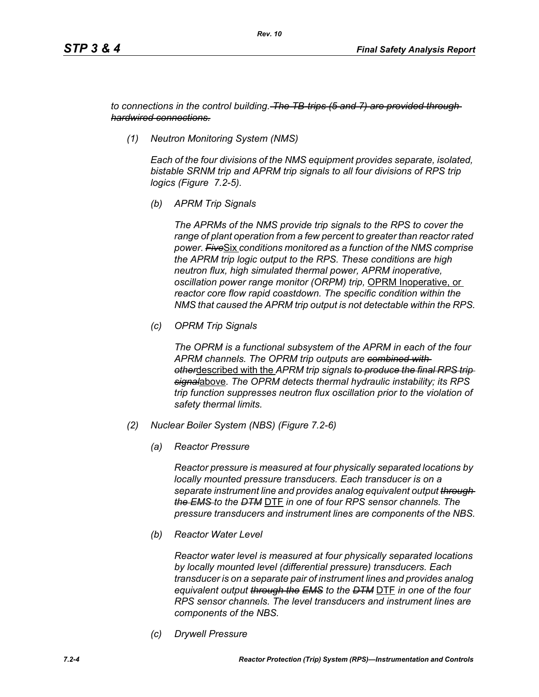*to connections in the control building. The TB-trips (5 and 7) are provided through hardwired connections.*

*(1) Neutron Monitoring System (NMS)*

*Each of the four divisions of the NMS equipment provides separate, isolated, bistable SRNM trip and APRM trip signals to all four divisions of RPS trip logics (Figure 7.2-5).*

*(b) APRM Trip Signals*

*The APRMs of the NMS provide trip signals to the RPS to cover the range of plant operation from a few percent to greater than reactor rated power. Five*Six *conditions monitored as a function of the NMS comprise the APRM trip logic output to the RPS. These conditions are high neutron flux, high simulated thermal power, APRM inoperative, oscillation power range monitor (ORPM) trip,* OPRM Inoperative, or *reactor core flow rapid coastdown. The specific condition within the NMS that caused the APRM trip output is not detectable within the RPS.*

*(c) OPRM Trip Signals*

*The OPRM is a functional subsystem of the APRM in each of the four APRM channels. The OPRM trip outputs are combined with other*described with the *APRM trip signals to produce the final RPS trip signal*above*. The OPRM detects thermal hydraulic instability; its RPS trip function suppresses neutron flux oscillation prior to the violation of safety thermal limits.*

- *(2) Nuclear Boiler System (NBS) (Figure 7.2-6)*
	- *(a) Reactor Pressure*

*Reactor pressure is measured at four physically separated locations by locally mounted pressure transducers. Each transducer is on a separate instrument line and provides analog equivalent output through the EMS to the DTM* DTF *in one of four RPS sensor channels. The pressure transducers and instrument lines are components of the NBS.*

*(b) Reactor Water Level*

*Reactor water level is measured at four physically separated locations by locally mounted level (differential pressure) transducers. Each transducer is on a separate pair of instrument lines and provides analog equivalent output through the EMS to the DTM* DTF *in one of the four RPS sensor channels. The level transducers and instrument lines are components of the NBS.*

*(c) Drywell Pressure*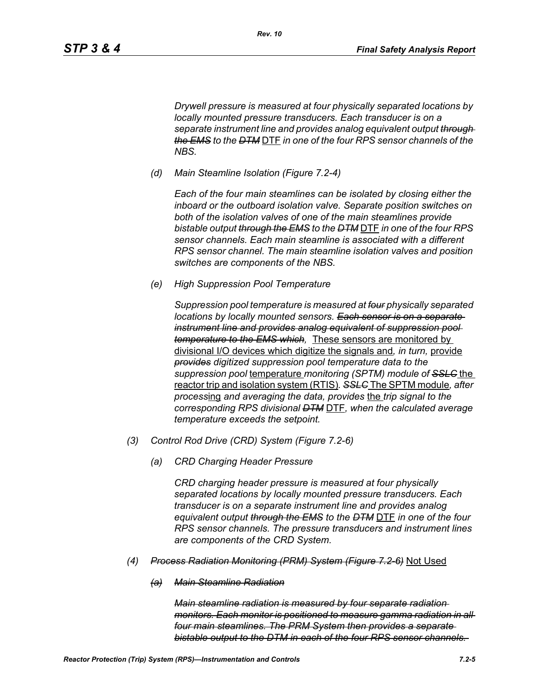*Drywell pressure is measured at four physically separated locations by locally mounted pressure transducers. Each transducer is on a separate instrument line and provides analog equivalent output through the EMS to the DTM* DTF *in one of the four RPS sensor channels of the NBS.*

*(d) Main Steamline Isolation (Figure 7.2-4)*

*Each of the four main steamlines can be isolated by closing either the inboard or the outboard isolation valve. Separate position switches on both of the isolation valves of one of the main steamlines provide bistable output through the EMS to the DTM* DTF *in one of the four RPS sensor channels. Each main steamline is associated with a different RPS sensor channel. The main steamline isolation valves and position switches are components of the NBS.*

*(e) High Suppression Pool Temperature*

*Suppression pool temperature is measured at four physically separated locations by locally mounted sensors. Each sensor is on a separate instrument line and provides analog equivalent of suppression pool temperature to the EMS which,* These sensors are monitored by divisional I/O devices which digitize the signals and*, in turn,* provide *provides digitized suppression pool temperature data to the suppression pool* temperature *monitoring (SPTM) module of SSLC* the reactor trip and isolation system (RTIS)*. SSLC* The SPTM module*, after process*ing *and averaging the data, provides* the *trip signal to the corresponding RPS divisional DTM* DTF*, when the calculated average temperature exceeds the setpoint.*

- *(3) Control Rod Drive (CRD) System (Figure 7.2-6)*
	- *(a) CRD Charging Header Pressure*

*CRD charging header pressure is measured at four physically separated locations by locally mounted pressure transducers. Each transducer is on a separate instrument line and provides analog equivalent output through the EMS to the DTM* DTF *in one of the four RPS sensor channels. The pressure transducers and instrument lines are components of the CRD System.*

- *(4) Process Radiation Monitoring (PRM) System (Figure 7.2-6)* Not Used
	- *(a) Main Steamline Radiation*

*Main steamline radiation is measured by four separate radiation monitors. Each monitor is positioned to measure gamma radiation in all four main steamlines. The PRM System then provides a separate bistable output to the DTM in each of the four RPS sensor channels.*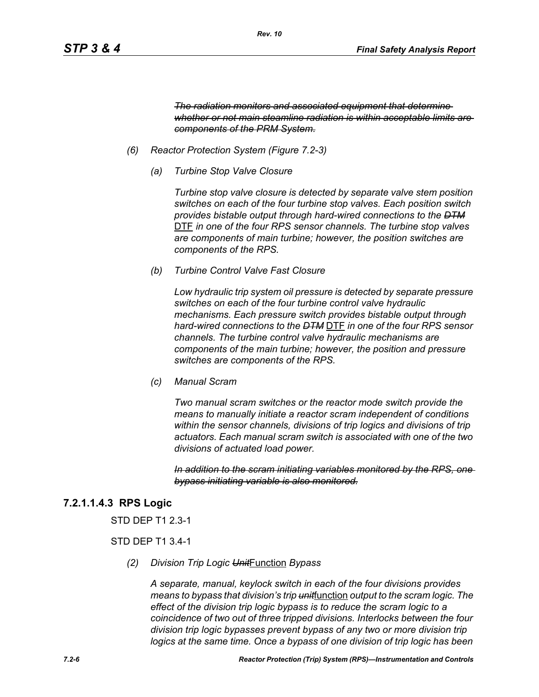*The radiation monitors and associated equipment that determine whether or not main steamline radiation is within acceptable limits are components of the PRM System.*

- *(6) Reactor Protection System (Figure 7.2-3)*
	- *(a) Turbine Stop Valve Closure*

*Turbine stop valve closure is detected by separate valve stem position switches on each of the four turbine stop valves. Each position switch provides bistable output through hard-wired connections to the DTM* DTF *in one of the four RPS sensor channels. The turbine stop valves are components of main turbine; however, the position switches are components of the RPS.*

*(b) Turbine Control Valve Fast Closure*

*Low hydraulic trip system oil pressure is detected by separate pressure switches on each of the four turbine control valve hydraulic mechanisms. Each pressure switch provides bistable output through hard-wired connections to the DTM* DTF *in one of the four RPS sensor channels. The turbine control valve hydraulic mechanisms are components of the main turbine; however, the position and pressure switches are components of the RPS.*

*(c) Manual Scram*

*Two manual scram switches or the reactor mode switch provide the means to manually initiate a reactor scram independent of conditions within the sensor channels, divisions of trip logics and divisions of trip actuators. Each manual scram switch is associated with one of the two divisions of actuated load power.* 

*In addition to the scram initiating variables monitored by the RPS, one bypass initiating variable is also monitored.*

# **7.2.1.1.4.3 RPS Logic**

STD DEP T1 2.3-1

## STD DEP T1 3.4-1

*(2) Division Trip Logic Unit*Function *Bypass*

*A separate, manual, keylock switch in each of the four divisions provides means to bypass that division's trip unit*function *output to the scram logic. The effect of the division trip logic bypass is to reduce the scram logic to a coincidence of two out of three tripped divisions. Interlocks between the four division trip logic bypasses prevent bypass of any two or more division trip logics at the same time. Once a bypass of one division of trip logic has been*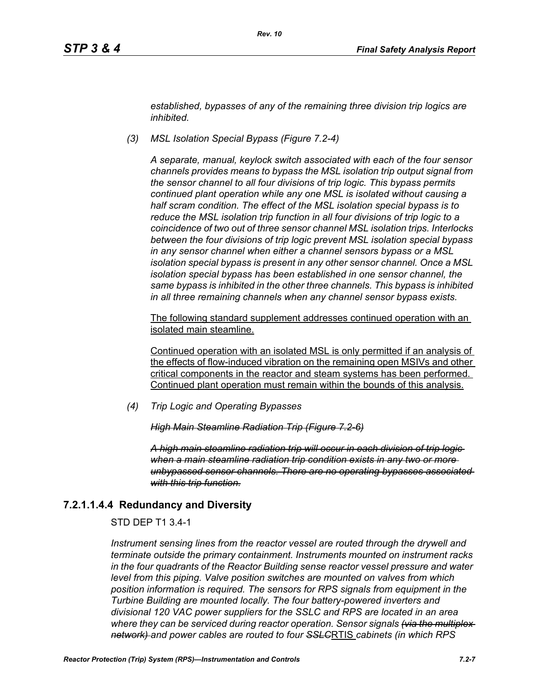*established, bypasses of any of the remaining three division trip logics are inhibited.*

*(3) MSL Isolation Special Bypass (Figure 7.2-4)*

*A separate, manual, keylock switch associated with each of the four sensor channels provides means to bypass the MSL isolation trip output signal from the sensor channel to all four divisions of trip logic. This bypass permits continued plant operation while any one MSL is isolated without causing a half scram condition. The effect of the MSL isolation special bypass is to reduce the MSL isolation trip function in all four divisions of trip logic to a coincidence of two out of three sensor channel MSL isolation trips. Interlocks between the four divisions of trip logic prevent MSL isolation special bypass in any sensor channel when either a channel sensors bypass or a MSL isolation special bypass is present in any other sensor channel. Once a MSL isolation special bypass has been established in one sensor channel, the same bypass is inhibited in the other three channels. This bypass is inhibited in all three remaining channels when any channel sensor bypass exists.*

The following standard supplement addresses continued operation with an isolated main steamline.

Continued operation with an isolated MSL is only permitted if an analysis of the effects of flow-induced vibration on the remaining open MSIVs and other critical components in the reactor and steam systems has been performed. Continued plant operation must remain within the bounds of this analysis.

*(4) Trip Logic and Operating Bypasses*

*High Main Steamline Radiation Trip (Figure 7.2-6)*

*A high main steamline radiation trip will occur in each division of trip logic when a main steamline radiation trip condition exists in any two or more unbypassed sensor channels. There are no operating bypasses associated with this trip function.*

# **7.2.1.1.4.4 Redundancy and Diversity**

STD DEP T1 3.4-1

*Instrument sensing lines from the reactor vessel are routed through the drywell and terminate outside the primary containment. Instruments mounted on instrument racks in the four quadrants of the Reactor Building sense reactor vessel pressure and water level from this piping. Valve position switches are mounted on valves from which position information is required. The sensors for RPS signals from equipment in the Turbine Building are mounted locally. The four battery-powered inverters and divisional 120 VAC power suppliers for the SSLC and RPS are located in an area where they can be serviced during reactor operation. Sensor signals (via the multiplex network) and power cables are routed to four SSLC*RTIS *cabinets (in which RPS*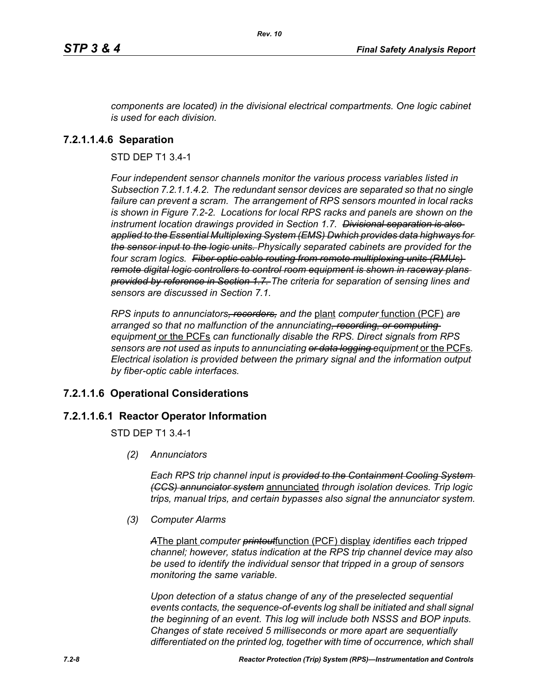*components are located) in the divisional electrical compartments. One logic cabinet is used for each division.*

*Rev. 10*

## **7.2.1.1.4.6 Separation**

STD DEP T1 3.4-1

*Four independent sensor channels monitor the various process variables listed in Subsection 7.2.1.1.4.2. The redundant sensor devices are separated so that no single failure can prevent a scram. The arrangement of RPS sensors mounted in local racks is shown in Figure 7.2-2. Locations for local RPS racks and panels are shown on the instrument location drawings provided in Section 1.7. Divisional separation is also applied to the Essential Multiplexing System (EMS) Dwhich provides data highways for the sensor input to the logic units. Physically separated cabinets are provided for the four scram logics. Fiber optic cable routing from remote multiplexing units (RMUs) remote digital logic controllers to control room equipment is shown in raceway plans provided by reference in Section 1.7. The criteria for separation of sensing lines and sensors are discussed in Section 7.1.*

*RPS inputs to annunciators, recorders, and the* plant *computer* function (PCF) *are arranged so that no malfunction of the annunciating, recording, or computing equipment* or the PCFs *can functionally disable the RPS. Direct signals from RPS sensors are not used as inputs to annunciating or data logging equipment* or the PCFs*. Electrical isolation is provided between the primary signal and the information output by fiber-optic cable interfaces.*

# **7.2.1.1.6 Operational Considerations**

## **7.2.1.1.6.1 Reactor Operator Information**

STD DEP T1 3.4-1

*(2) Annunciators*

*Each RPS trip channel input is provided to the Containment Cooling System (CCS) annunciator system* annunciated *through isolation devices. Trip logic trips, manual trips, and certain bypasses also signal the annunciator system.*

*(3) Computer Alarms*

*A*The plant *computer printout*function (PCF) display *identifies each tripped channel; however, status indication at the RPS trip channel device may also be used to identify the individual sensor that tripped in a group of sensors monitoring the same variable.* 

*Upon detection of a status change of any of the preselected sequential events contacts, the sequence-of-events log shall be initiated and shall signal the beginning of an event. This log will include both NSSS and BOP inputs. Changes of state received 5 milliseconds or more apart are sequentially differentiated on the printed log, together with time of occurrence, which shall*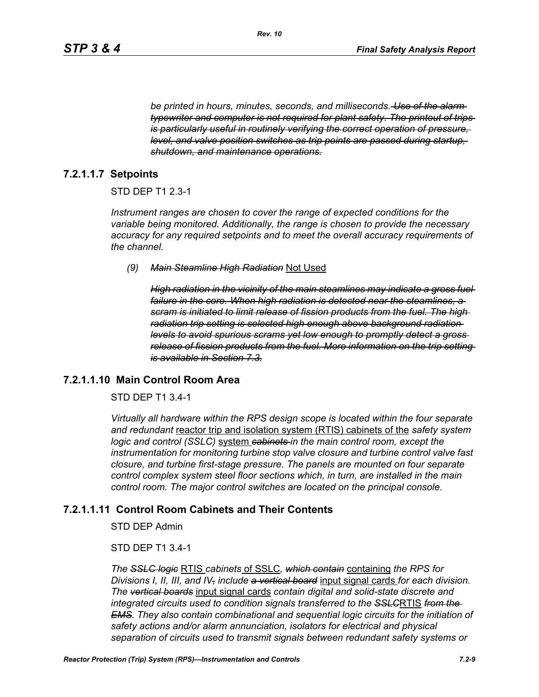*be printed in hours, minutes, seconds, and milliseconds. Use of the alarm typewriter and computer is not required for plant safety. The printout of trips is particularly useful in routinely verifying the correct operation of pressure, level, and valve position switches as trip points are passed during startup, shutdown, and maintenance operations.*

## **7.2.1.1.7 Setpoints**

#### STD DEP T1 2.3-1

*Instrument ranges are chosen to cover the range of expected conditions for the variable being monitored. Additionally, the range is chosen to provide the necessary accuracy for any required setpoints and to meet the overall accuracy requirements of the channel.*

*(9) Main Steamline High Radiation* Not Used

*High radiation in the vicinity of the main steamlines may indicate a gross fuel failure in the core. When high radiation is detected near the steamlines, a scram is initiated to limit release of fission products from the fuel. The high radiation trip setting is selected high enough above background radiation levels to avoid spurious scrams yet low enough to promptly detect a gross release of fission products from the fuel. More information on the trip setting is available in Section 7.3.*

### **7.2.1.1.10 Main Control Room Area**

#### STD DEP T1 3.4-1

*Virtually all hardware within the RPS design scope is located within the four separate and redundant* reactor trip and isolation system (RTIS) cabinets of the *safety system logic and control (SSLC)* system *cabinets in the main control room, except the instrumentation for monitoring turbine stop valve closure and turbine control valve fast closure, and turbine first-stage pressure. The panels are mounted on four separate control complex system steel floor sections which, in turn, are installed in the main control room. The major control switches are located on the principal console.*

#### **7.2.1.1.11 Control Room Cabinets and Their Contents**

STD DEP Admin

#### STD DEP T1 3.4-1

*The SSLC logic* RTIS *cabinets* of SSLC*, which contain* containing *the RPS for Divisions I, II, III, and IV, include a vertical board* input signal cards *for each division. The vertical boards* input signal cards *contain digital and solid-state discrete and integrated circuits used to condition signals transferred to the SSLC*RTIS *from the EMS. They also contain combinational and sequential logic circuits for the initiation of safety actions and/or alarm annunciation, isolators for electrical and physical separation of circuits used to transmit signals between redundant safety systems or*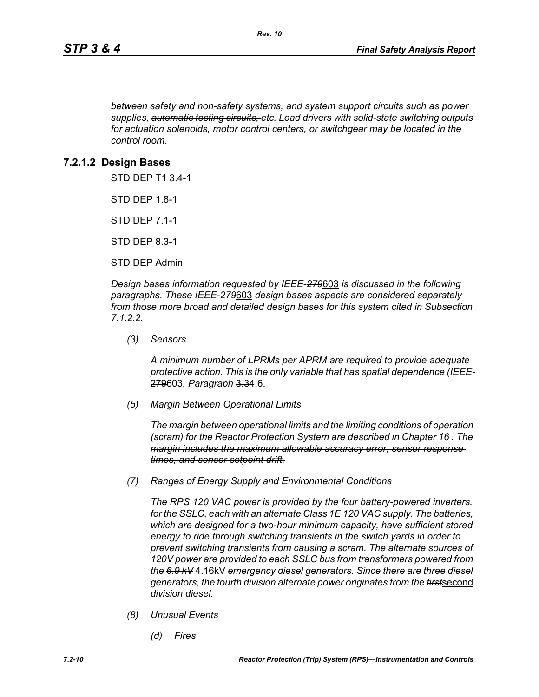*between safety and non-safety systems, and system support circuits such as power supplies, automatic testing circuits, etc. Load drivers with solid-state switching outputs for actuation solenoids, motor control centers, or switchgear may be located in the control room.*

## **7.2.1.2 Design Bases**

STD DEP T1 3.4-1

STD DEP 1.8-1

STD DEP 7.1-1

STD DEP 8.3-1

STD DEP Admin

*Design bases information requested by IEEE-279*603 *is discussed in the following paragraphs. These IEEE-279*603 *design bases aspects are considered separately from those more broad and detailed design bases for this system cited in Subsection 7.1.2.2.*

*(3) Sensors*

*A minimum number of LPRMs per APRM are required to provide adequate protective action. This is the only variable that has spatial dependence (IEEE-*279603*, Paragraph* 3.34.6.

*(5) Margin Between Operational Limits*

*The margin between operational limits and the limiting conditions of operation (scram) for the Reactor Protection System are described in Chapter 16 . The margin includes the maximum allowable accuracy error, sensor response times, and sensor setpoint drift.*

*(7) Ranges of Energy Supply and Environmental Conditions*

*The RPS 120 VAC power is provided by the four battery-powered inverters, for the SSLC, each with an alternate Class 1E 120 VAC supply. The batteries, which are designed for a two-hour minimum capacity, have sufficient stored energy to ride through switching transients in the switch yards in order to prevent switching transients from causing a scram. The alternate sources of 120V power are provided to each SSLC bus from transformers powered from the 6.9 kV* 4.16kV *emergency diesel generators. Since there are three diesel generators, the fourth division alternate power originates from the first*second *division diesel.*

- *(8) Unusual Events*
	- *(d) Fires*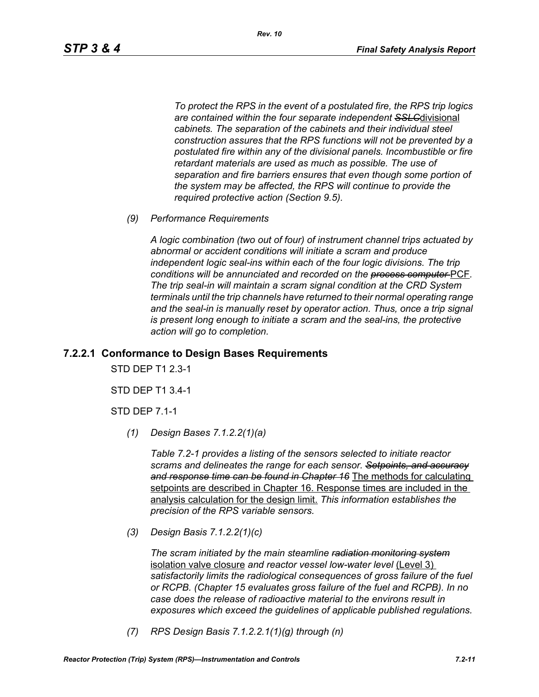*To protect the RPS in the event of a postulated fire, the RPS trip logics are contained within the four separate independent SSLC*divisional *cabinets. The separation of the cabinets and their individual steel construction assures that the RPS functions will not be prevented by a postulated fire within any of the divisional panels. Incombustible or fire retardant materials are used as much as possible. The use of separation and fire barriers ensures that even though some portion of the system may be affected, the RPS will continue to provide the required protective action (Section 9.5).*

*(9) Performance Requirements*

*A logic combination (two out of four) of instrument channel trips actuated by abnormal or accident conditions will initiate a scram and produce independent logic seal-ins within each of the four logic divisions. The trip conditions will be annunciated and recorded on the process computer* PCF*. The trip seal-in will maintain a scram signal condition at the CRD System terminals until the trip channels have returned to their normal operating range*  and the seal-in is manually reset by operator action. Thus, once a trip signal *is present long enough to initiate a scram and the seal-ins, the protective action will go to completion.*

### **7.2.2.1 Conformance to Design Bases Requirements**

STD DEP T1 2.3-1

STD DEP T1 3.4-1

STD DEP 7.1-1

*(1) Design Bases 7.1.2.2(1)(a)*

*Table 7.2-1 provides a listing of the sensors selected to initiate reactor scrams and delineates the range for each sensor. Setpoints, and accuracy and response time can be found in Chapter 16* The methods for calculating setpoints are described in Chapter 16. Response times are included in the analysis calculation for the design limit. *This information establishes the precision of the RPS variable sensors.*

*(3) Design Basis 7.1.2.2(1)(c)*

*The scram initiated by the main steamline radiation monitoring system* isolation valve closure *and reactor vessel low-water level* (Level 3) *satisfactorily limits the radiological consequences of gross failure of the fuel or RCPB. (Chapter 15 evaluates gross failure of the fuel and RCPB). In no case does the release of radioactive material to the environs result in exposures which exceed the guidelines of applicable published regulations.*

*(7) RPS Design Basis 7.1.2.2.1(1)(g) through (n)*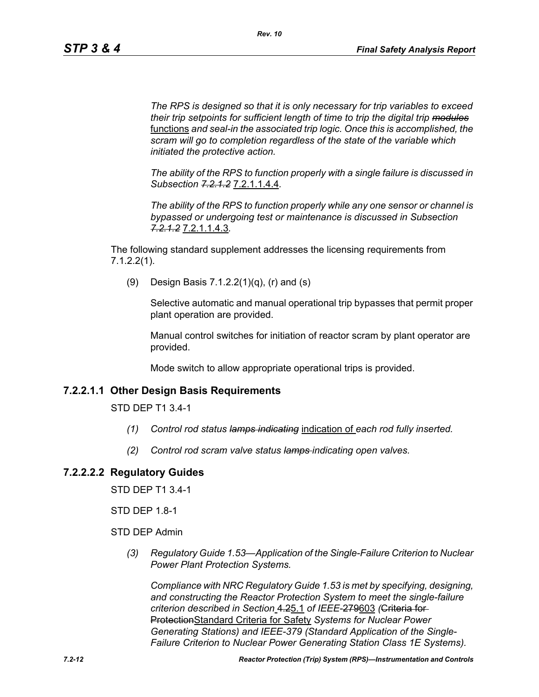*The RPS is designed so that it is only necessary for trip variables to exceed their trip setpoints for sufficient length of time to trip the digital trip modules* functions *and seal-in the associated trip logic. Once this is accomplished, the scram will go to completion regardless of the state of the variable which initiated the protective action.*

*The ability of the RPS to function properly with a single failure is discussed in Subsection 7.2.1.2* 7.2.1.1.4.4*.*

*The ability of the RPS to function properly while any one sensor or channel is bypassed or undergoing test or maintenance is discussed in Subsection 7.2.1.2* 7.2.1.1.4.3*.*

The following standard supplement addresses the licensing requirements from 7.1.2.2(1).

(9) Design Basis 7.1.2.2(1)(q), (r) and (s)

Selective automatic and manual operational trip bypasses that permit proper plant operation are provided.

Manual control switches for initiation of reactor scram by plant operator are provided.

Mode switch to allow appropriate operational trips is provided.

# **7.2.2.1.1 Other Design Basis Requirements**

STD DEP T1 3.4-1

- *(1) Control rod status lamps indicating* indication of *each rod fully inserted.*
- *(2) Control rod scram valve status lamps indicating open valves.*

# **7.2.2.2.2 Regulatory Guides**

STD DEP T1 3.4-1

STD DEP 1.8-1

STD DEP Admin

*(3) Regulatory Guide 1.53—Application of the Single-Failure Criterion to Nuclear Power Plant Protection Systems.*

*Compliance with NRC Regulatory Guide 1.53 is met by specifying, designing, and constructing the Reactor Protection System to meet the single-failure criterion described in Section* 4.25.1 *of IEEE-*279603 *(*Criteria for ProtectionStandard Criteria for Safety *Systems for Nuclear Power Generating Stations) and IEEE-379 (Standard Application of the Single-Failure Criterion to Nuclear Power Generating Station Class 1E Systems).*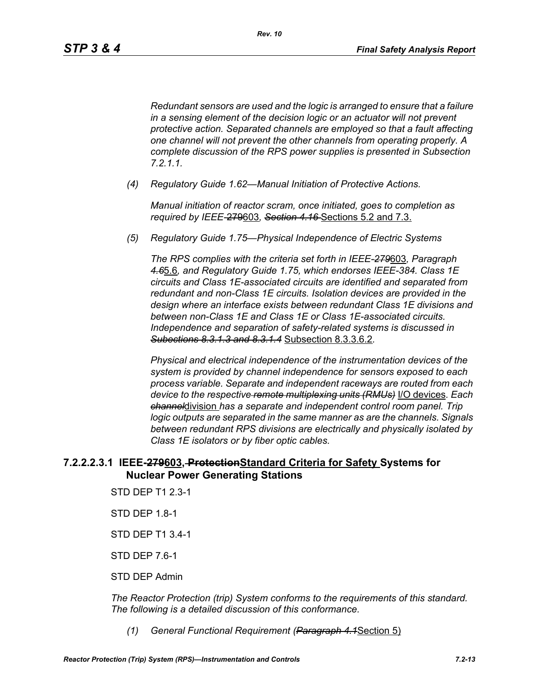*Redundant sensors are used and the logic is arranged to ensure that a failure in a sensing element of the decision logic or an actuator will not prevent protective action. Separated channels are employed so that a fault affecting one channel will not prevent the other channels from operating properly. A complete discussion of the RPS power supplies is presented in Subsection 7.2.1.1.*

*(4) Regulatory Guide 1.62—Manual Initiation of Protective Actions.*

*Manual initiation of reactor scram, once initiated, goes to completion as required by IEEE-*279603*, Section 4.16* Sections 5.2 and 7.3.

*(5) Regulatory Guide 1.75—Physical Independence of Electric Systems*

*The RPS complies with the criteria set forth in IEEE-279*603*, Paragraph 4.6*5.6*, and Regulatory Guide 1.75, which endorses IEEE-384. Class 1E circuits and Class 1E-associated circuits are identified and separated from redundant and non-Class 1E circuits. Isolation devices are provided in the design where an interface exists between redundant Class 1E divisions and between non-Class 1E and Class 1E or Class 1E-associated circuits. Independence and separation of safety-related systems is discussed in Subections 8.3.1.3 and 8.3.1.4* Subsection 8.3.3.6.2*.*

*Physical and electrical independence of the instrumentation devices of the system is provided by channel independence for sensors exposed to each process variable. Separate and independent raceways are routed from each device to the respective remote multiplexing units (RMUs)* I/O devices*. Each channel*division *has a separate and independent control room panel. Trip logic outputs are separated in the same manner as are the channels. Signals between redundant RPS divisions are electrically and physically isolated by Class 1E isolators or by fiber optic cables.*

# **7.2.2.2.3.1 IEEE-279603, ProtectionStandard Criteria for Safety Systems for Nuclear Power Generating Stations**

- STD DEP T1 2.3-1
- STD DEP 1.8-1
- STD DEP T1 3.4-1
- STD DEP 7.6-1
- STD DEP Admin

*The Reactor Protection (trip) System conforms to the requirements of this standard. The following is a detailed discussion of this conformance.*

*(1) General Functional Requirement (Paragraph 4.1*Section 5)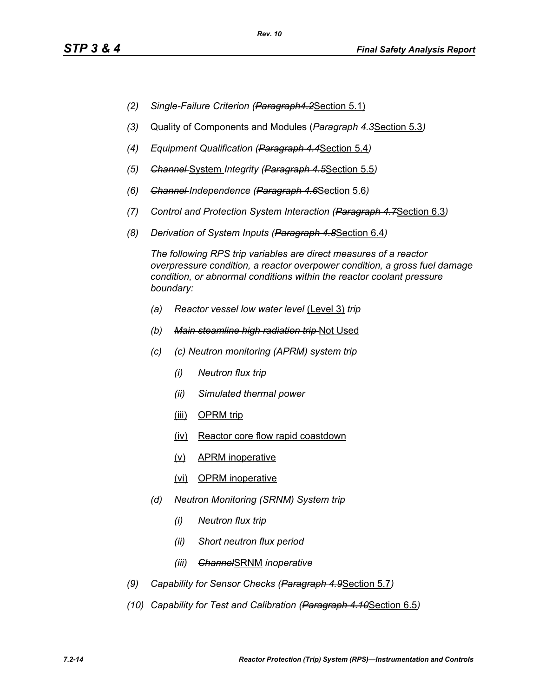- *(2) Single-Failure Criterion (Paragraph4.2*Section 5.1)
- *(3)* Quality of Components and Modules (*Paragraph 4.3*Section 5.3*)*
- *(4) Equipment Qualification (Paragraph 4.4*Section 5.4*)*
- *(5) Channel* System *Integrity (Paragraph 4.5*Section 5.5*)*
- *(6) Channel Independence (Paragraph 4.6*Section 5.6*)*
- *(7) Control and Protection System Interaction (Paragraph 4.7*Section 6.3*)*
- *(8) Derivation of System Inputs (Paragraph 4.8*Section 6.4*)*

*The following RPS trip variables are direct measures of a reactor overpressure condition, a reactor overpower condition, a gross fuel damage condition, or abnormal conditions within the reactor coolant pressure boundary:*

- *(a) Reactor vessel low water level* (Level 3) *trip*
- *(b) Main steamline high radiation trip* Not Used
- *(c) (c) Neutron monitoring (APRM) system trip*
	- *(i) Neutron flux trip*
	- *(ii) Simulated thermal power*
	- (iii) OPRM trip
	- (iv) Reactor core flow rapid coastdown
	- (v) APRM inoperative
	- (vi) OPRM inoperative
- *(d) Neutron Monitoring (SRNM) System trip*
	- *(i) Neutron flux trip*
	- *(ii) Short neutron flux period*
	- *(iii) Channel*SRNM *inoperative*
- *(9) Capability for Sensor Checks (Paragraph 4.9*Section 5.7*)*
- *(10) Capability for Test and Calibration (Paragraph 4.10*Section 6.5*)*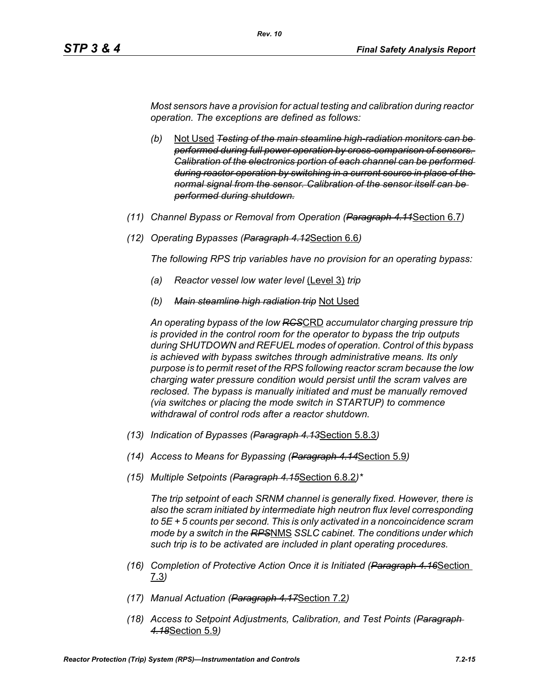*Most sensors have a provision for actual testing and calibration during reactor operation. The exceptions are defined as follows:*

*Rev. 10*

- *(b)* Not Used *Testing of the main steamline high-radiation monitors can be performed during full power operation by cross-comparison of sensors. Calibration of the electronics portion of each channel can be performed during reactor operation by switching in a current source in place of the normal signal from the sensor. Calibration of the sensor itself can be performed during shutdown.*
- *(11) Channel Bypass or Removal from Operation (Paragraph 4.11*Section 6.7*)*
- *(12) Operating Bypasses (Paragraph 4.12*Section 6.6*)*

*The following RPS trip variables have no provision for an operating bypass:*

- *(a) Reactor vessel low water level* (Level 3) *trip*
- *(b) Main steamline high radiation trip* Not Used

*An operating bypass of the low RCS*CRD *accumulator charging pressure trip is provided in the control room for the operator to bypass the trip outputs during SHUTDOWN and REFUEL modes of operation. Control of this bypass is achieved with bypass switches through administrative means. Its only purpose is to permit reset of the RPS following reactor scram because the low charging water pressure condition would persist until the scram valves are reclosed. The bypass is manually initiated and must be manually removed (via switches or placing the mode switch in STARTUP) to commence withdrawal of control rods after a reactor shutdown.*

- *(13) Indication of Bypasses (Paragraph 4.13*Section 5.8.3*)*
- *(14) Access to Means for Bypassing (Paragraph 4.14*Section 5.9*)*
- *(15) Multiple Setpoints (Paragraph 4.15*Section 6.8.2*)\**

*The trip setpoint of each SRNM channel is generally fixed. However, there is also the scram initiated by intermediate high neutron flux level corresponding to 5E + 5 counts per second. This is only activated in a noncoincidence scram mode by a switch in the RPS*NMS *SSLC cabinet. The conditions under which such trip is to be activated are included in plant operating procedures.*

- *(16) Completion of Protective Action Once it is Initiated (Paragraph 4.16*Section 7.3*)*
- *(17) Manual Actuation (Paragraph 4.17*Section 7.2*)*
- *(18) Access to Setpoint Adjustments, Calibration, and Test Points (Paragraph 4.18*Section 5.9*)*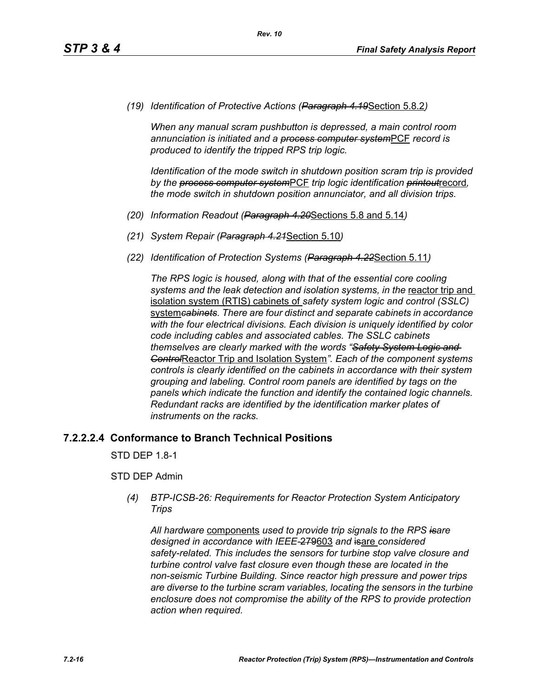*(19) Identification of Protective Actions (Paragraph 4.19*Section 5.8.2*)*

*When any manual scram pushbutton is depressed, a main control room annunciation is initiated and a process computer system*PCF *record is produced to identify the tripped RPS trip logic.*

*Identification of the mode switch in shutdown position scram trip is provided by the process computer system*PCF *trip logic identification printout*record*, the mode switch in shutdown position annunciator, and all division trips.*

- *(20) Information Readout (Paragraph 4.20*Sections 5.8 and 5.14*)*
- *(21) System Repair (Paragraph 4.21*Section 5.10*)*
- *(22) Identification of Protection Systems (Paragraph 4.22*Section 5.11*)*

*The RPS logic is housed, along with that of the essential core cooling*  systems and the leak detection and *isolation systems, in the reactor trip* and isolation system (RTIS) cabinets of *safety system logic and control (SSLC)*  system*cabinets. There are four distinct and separate cabinets in accordance with the four electrical divisions. Each division is uniquely identified by color code including cables and associated cables. The SSLC cabinets themselves are clearly marked with the words "Safety System Logic and Control*Reactor Trip and Isolation System*". Each of the component systems controls is clearly identified on the cabinets in accordance with their system grouping and labeling. Control room panels are identified by tags on the panels which indicate the function and identify the contained logic channels. Redundant racks are identified by the identification marker plates of instruments on the racks.*

## **7.2.2.2.4 Conformance to Branch Technical Positions**

STD DEP 1.8-1

## STD DEP Admin

*(4) BTP-ICSB-26: Requirements for Reactor Protection System Anticipatory Trips*

*All hardware* components *used to provide trip signals to the RPS isare designed in accordance with IEEE-*279603 *and* isare *considered safety-related. This includes the sensors for turbine stop valve closure and turbine control valve fast closure even though these are located in the non-seismic Turbine Building. Since reactor high pressure and power trips are diverse to the turbine scram variables, locating the sensors in the turbine enclosure does not compromise the ability of the RPS to provide protection action when required.*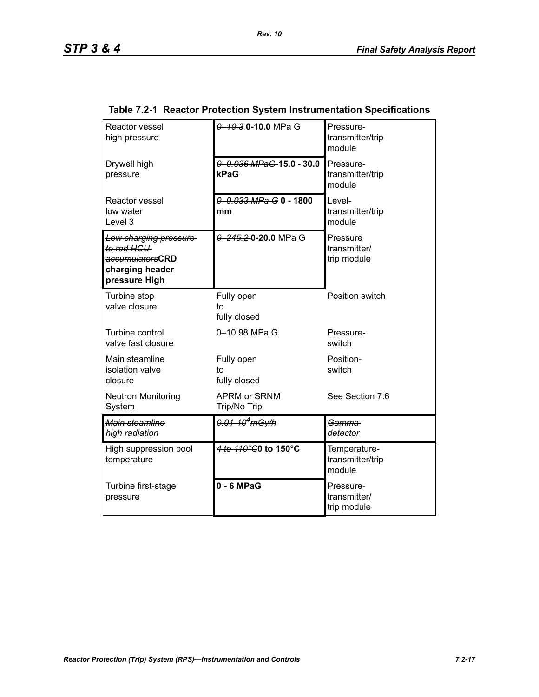| Reactor vessel<br>high pressure                                                            | 0 10.3 0-10.0 MPa G                  | Pressure-<br>transmitter/trip<br>module    |
|--------------------------------------------------------------------------------------------|--------------------------------------|--------------------------------------------|
| Drywell high<br>pressure                                                                   | $0 - 0.036$ MPaG-15.0 - 30.0<br>kPaG | Pressure-<br>transmitter/trip<br>module    |
| Reactor vessel<br>low water<br>Level 3                                                     | 0 0.033 MPa G 0 - 1800<br>mm         | Level-<br>transmitter/trip<br>module       |
| Low charging pressure<br>to rod HCU<br>accumulatorsCRD<br>charging header<br>pressure High | 0 245.2 0 20.0 MPa G                 | Pressure<br>transmitter/<br>trip module    |
| Turbine stop<br>valve closure                                                              | Fully open<br>to<br>fully closed     | Position switch                            |
| Turbine control<br>valve fast closure                                                      | 0-10.98 MPa G                        | Pressure-<br>switch                        |
| Main steamline<br>isolation valve<br>closure                                               | Fully open<br>to<br>fully closed     | Position-<br>switch                        |
| <b>Neutron Monitoring</b><br>System                                                        | <b>APRM or SRNM</b><br>Trip/No Trip  | See Section 7.6                            |
| Main steamline<br>high radiation                                                           | 0.01-10 <sup>4</sup> mGy/h           | Gamma<br>detector                          |
| High suppression pool<br>temperature                                                       | 4 to 110°C0 to 150°C                 | Temperature-<br>transmitter/trip<br>module |
| Turbine first-stage<br>pressure                                                            | $0 - 6$ MPaG                         | Pressure-<br>transmitter/<br>trip module   |

# **Table 7.2-1 Reactor Protection System Instrumentation Specifications**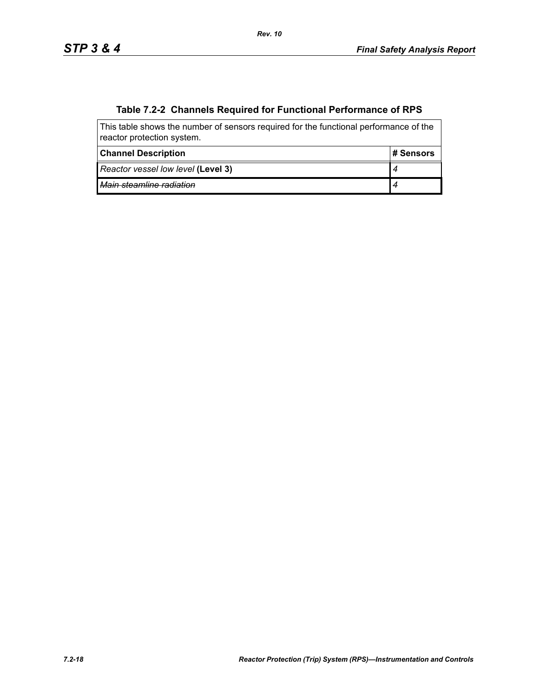# **Table 7.2-2 Channels Required for Functional Performance of RPS**

| This table shows the number of sensors required for the functional performance of the<br>reactor protection system. |            |  |  |
|---------------------------------------------------------------------------------------------------------------------|------------|--|--|
| <b>Channel Description</b>                                                                                          | ⊩# Sensors |  |  |
| Reactor vessel low level (Level 3)                                                                                  |            |  |  |
| Main steamline radiation                                                                                            |            |  |  |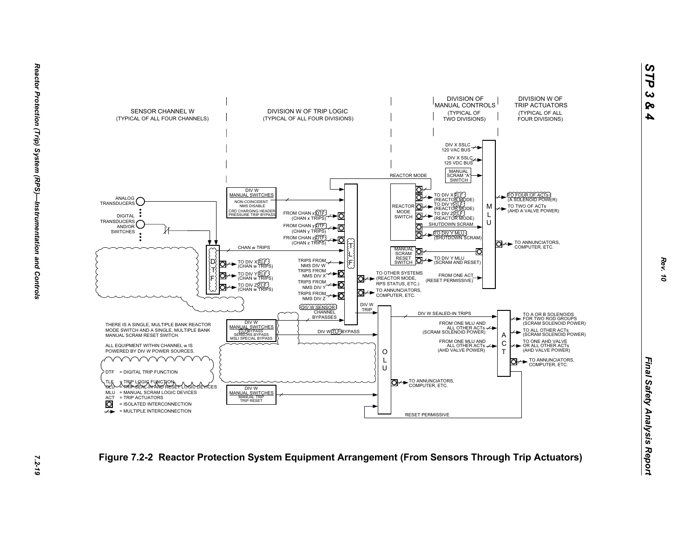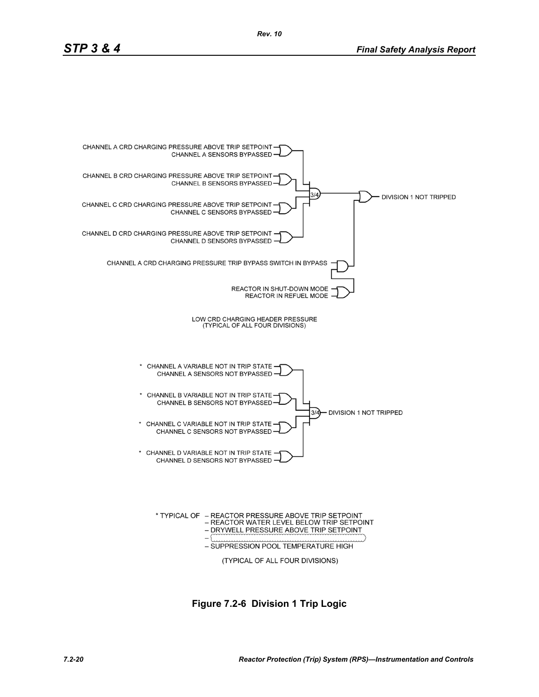

**Figure 7.2-6 Division 1 Trip Logic**